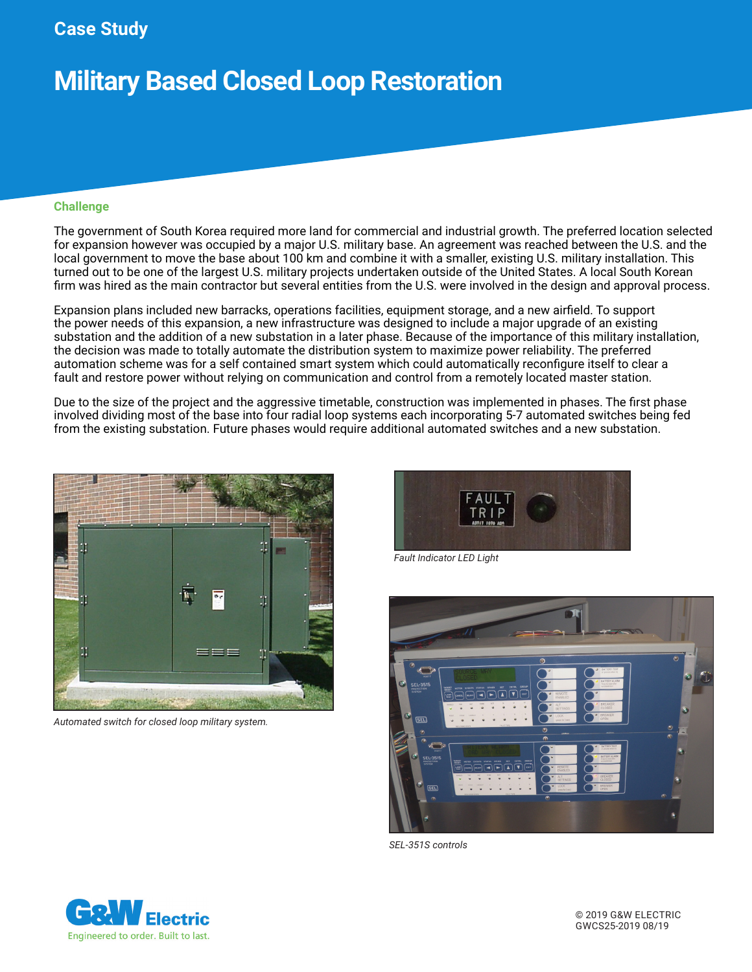**Case Study**

## **Military Based Closed Loop Restoration**

#### **Challenge**

The government of South Korea required more land for commercial and industrial growth. The preferred location selected for expansion however was occupied by a major U.S. military base. An agreement was reached between the U.S. and the local government to move the base about 100 km and combine it with a smaller, existing U.S. military installation. This turned out to be one of the largest U.S. military projects undertaken outside of the United States. A local South Korean firm was hired as the main contractor but several entities from the U.S. were involved in the design and approval process.

Expansion plans included new barracks, operations facilities, equipment storage, and a new airfield. To support the power needs of this expansion, a new infrastructure was designed to include a major upgrade of an existing substation and the addition of a new substation in a later phase. Because of the importance of this military installation, the decision was made to totally automate the distribution system to maximize power reliability. The preferred automation scheme was for a self contained smart system which could automatically reconfigure itself to clear a fault and restore power without relying on communication and control from a remotely located master station.

Due to the size of the project and the aggressive timetable, construction was implemented in phases. The first phase involved dividing most of the base into four radial loop systems each incorporating 5-7 automated switches being fed from the existing substation. Future phases would require additional automated switches and a new substation.



*Automated switch for closed loop military system.*



*Fault Indicator LED Light*



*SEL-351S controls*

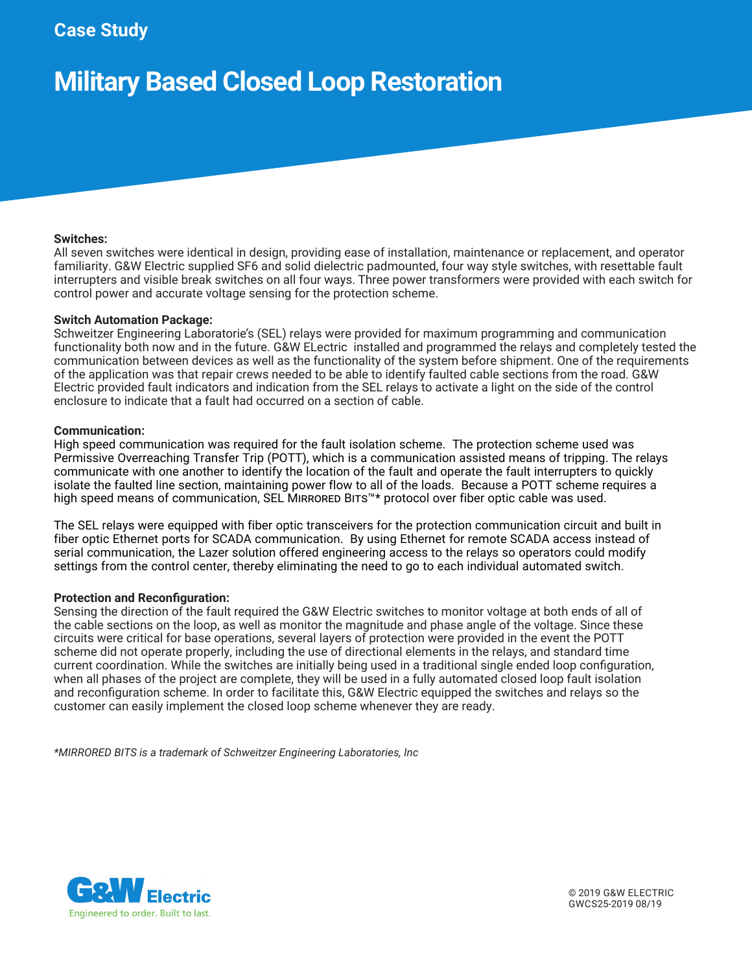### **Case Study**

# **Military Based Closed Loop Restoration**

#### **Switches:**

All seven switches were identical in design, providing ease of installation, maintenance or replacement, and operator familiarity. G&W Electric supplied SF6 and solid dielectric padmounted, four way style switches, with resettable fault interrupters and visible break switches on all four ways. Three power transformers were provided with each switch for control power and accurate voltage sensing for the protection scheme.

#### **Switch Automation Package:**

Schweitzer Engineering Laboratorie's (SEL) relays were provided for maximum programming and communication functionality both now and in the future. G&W ELectric installed and programmed the relays and completely tested the communication between devices as well as the functionality of the system before shipment. One of the requirements of the application was that repair crews needed to be able to identify faulted cable sections from the road. G&W Electric provided fault indicators and indication from the SEL relays to activate a light on the side of the control enclosure to indicate that a fault had occurred on a section of cable.

#### **Communication:**

High speed communication was required for the fault isolation scheme. The protection scheme used was Permissive Overreaching Transfer Trip (POTT), which is a communication assisted means of tripping. The relays communicate with one another to identify the location of the fault and operate the fault interrupters to quickly isolate the faulted line section, maintaining power flow to all of the loads. Because a POTT scheme requires a high speed means of communication, SEL MIRRORED BITS™\* protocol over fiber optic cable was used.

The SEL relays were equipped with fiber optic transceivers for the protection communication circuit and built in fiber optic Ethernet ports for SCADA communication. By using Ethernet for remote SCADA access instead of serial communication, the Lazer solution offered engineering access to the relays so operators could modify settings from the control center, thereby eliminating the need to go to each individual automated switch.

#### **Protection and Reconfiguration:**

Sensing the direction of the fault required the G&W Electric switches to monitor voltage at both ends of all of the cable sections on the loop, as well as monitor the magnitude and phase angle of the voltage. Since these circuits were critical for base operations, several layers of protection were provided in the event the POTT scheme did not operate properly, including the use of directional elements in the relays, and standard time current coordination. While the switches are initially being used in a traditional single ended loop configuration, when all phases of the project are complete, they will be used in a fully automated closed loop fault isolation and reconfiguration scheme. In order to facilitate this, G&W Electric equipped the switches and relays so the customer can easily implement the closed loop scheme whenever they are ready.

*\*MIRRORED BITS is a trademark of Schweitzer Engineering Laboratories, Inc*



© 2019 G&W ELECTRIC GWCS25-2019 08/19